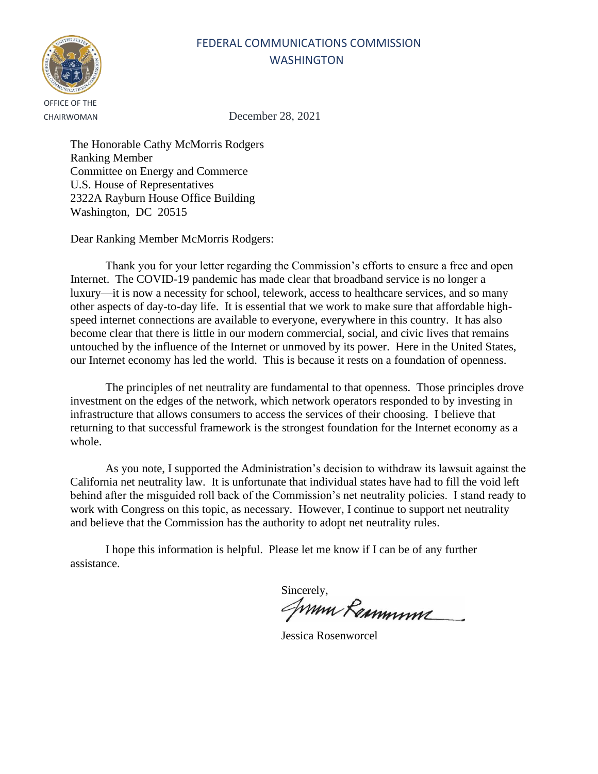

CHAIRWOMAN December 28, 2021

The Honorable Cathy McMorris Rodgers Ranking Member Committee on Energy and Commerce U.S. House of Representatives 2322A Rayburn House Office Building Washington, DC 20515

Dear Ranking Member McMorris Rodgers:

Thank you for your letter regarding the Commission's efforts to ensure a free and open Internet. The COVID-19 pandemic has made clear that broadband service is no longer a luxury—it is now a necessity for school, telework, access to healthcare services, and so many other aspects of day-to-day life. It is essential that we work to make sure that affordable highspeed internet connections are available to everyone, everywhere in this country. It has also become clear that there is little in our modern commercial, social, and civic lives that remains untouched by the influence of the Internet or unmoved by its power. Here in the United States, our Internet economy has led the world. This is because it rests on a foundation of openness.

The principles of net neutrality are fundamental to that openness. Those principles drove investment on the edges of the network, which network operators responded to by investing in infrastructure that allows consumers to access the services of their choosing. I believe that returning to that successful framework is the strongest foundation for the Internet economy as a whole.

As you note, I supported the Administration's decision to withdraw its lawsuit against the California net neutrality law. It is unfortunate that individual states have had to fill the void left behind after the misguided roll back of the Commission's net neutrality policies. I stand ready to work with Congress on this topic, as necessary. However, I continue to support net neutrality and believe that the Commission has the authority to adopt net neutrality rules.

Sincerely,<br>*JWWW Remmmme* 

Jessica Rosenworcel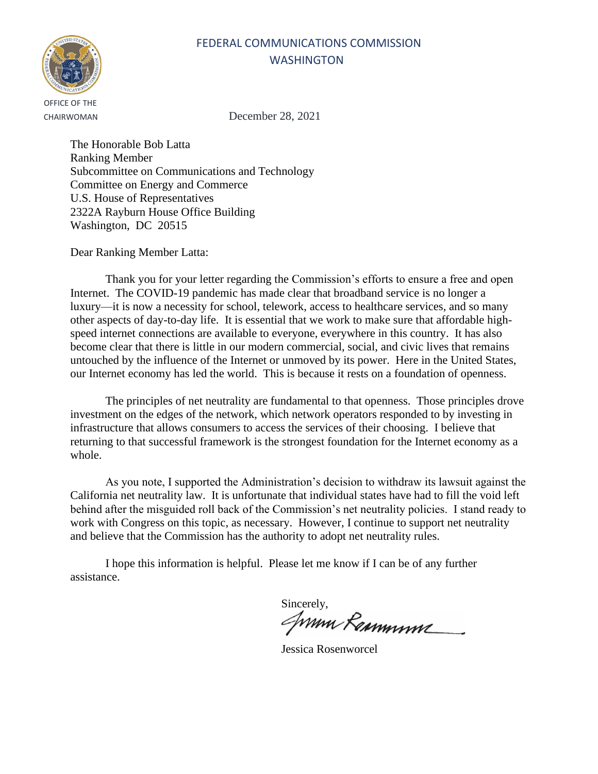## OFFICE OF THE

### FEDERAL COMMUNICATIONS COMMISSION **WASHINGTON**

CHAIRWOMAN December 28, 2021

The Honorable Bob Latta Ranking Member Subcommittee on Communications and Technology Committee on Energy and Commerce U.S. House of Representatives 2322A Rayburn House Office Building Washington, DC 20515

Dear Ranking Member Latta:

Thank you for your letter regarding the Commission's efforts to ensure a free and open Internet. The COVID-19 pandemic has made clear that broadband service is no longer a luxury—it is now a necessity for school, telework, access to healthcare services, and so many other aspects of day-to-day life. It is essential that we work to make sure that affordable highspeed internet connections are available to everyone, everywhere in this country. It has also become clear that there is little in our modern commercial, social, and civic lives that remains untouched by the influence of the Internet or unmoved by its power. Here in the United States, our Internet economy has led the world. This is because it rests on a foundation of openness.

The principles of net neutrality are fundamental to that openness. Those principles drove investment on the edges of the network, which network operators responded to by investing in infrastructure that allows consumers to access the services of their choosing. I believe that returning to that successful framework is the strongest foundation for the Internet economy as a whole.

As you note, I supported the Administration's decision to withdraw its lawsuit against the California net neutrality law. It is unfortunate that individual states have had to fill the void left behind after the misguided roll back of the Commission's net neutrality policies. I stand ready to work with Congress on this topic, as necessary. However, I continue to support net neutrality and believe that the Commission has the authority to adopt net neutrality rules.

Sincerely,<br>*ANNIN Remminive* 

Jessica Rosenworcel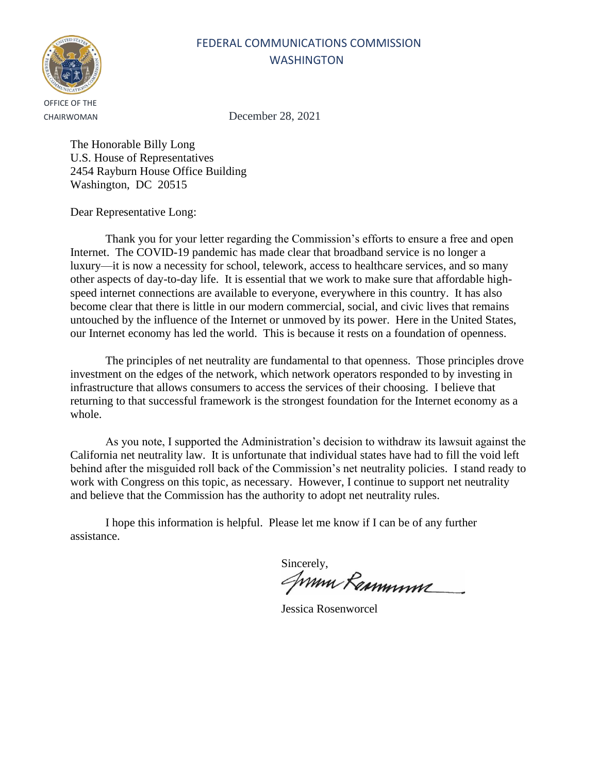

CHAIRWOMAN December 28, 2021

The Honorable Billy Long U.S. House of Representatives 2454 Rayburn House Office Building Washington, DC 20515

Dear Representative Long:

Thank you for your letter regarding the Commission's efforts to ensure a free and open Internet. The COVID-19 pandemic has made clear that broadband service is no longer a luxury—it is now a necessity for school, telework, access to healthcare services, and so many other aspects of day-to-day life. It is essential that we work to make sure that affordable highspeed internet connections are available to everyone, everywhere in this country. It has also become clear that there is little in our modern commercial, social, and civic lives that remains untouched by the influence of the Internet or unmoved by its power. Here in the United States, our Internet economy has led the world. This is because it rests on a foundation of openness.

The principles of net neutrality are fundamental to that openness. Those principles drove investment on the edges of the network, which network operators responded to by investing in infrastructure that allows consumers to access the services of their choosing. I believe that returning to that successful framework is the strongest foundation for the Internet economy as a whole.

As you note, I supported the Administration's decision to withdraw its lawsuit against the California net neutrality law. It is unfortunate that individual states have had to fill the void left behind after the misguided roll back of the Commission's net neutrality policies. I stand ready to work with Congress on this topic, as necessary. However, I continue to support net neutrality and believe that the Commission has the authority to adopt net neutrality rules.

Sincerely,<br>*ANNIN RaMMYNY* 

Jessica Rosenworcel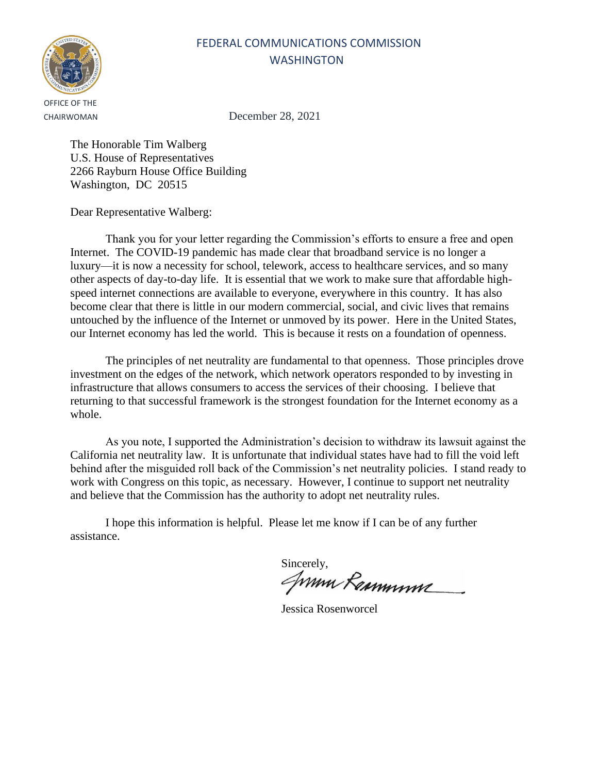

CHAIRWOMAN December 28, 2021

The Honorable Tim Walberg U.S. House of Representatives 2266 Rayburn House Office Building Washington, DC 20515

Dear Representative Walberg:

Thank you for your letter regarding the Commission's efforts to ensure a free and open Internet. The COVID-19 pandemic has made clear that broadband service is no longer a luxury—it is now a necessity for school, telework, access to healthcare services, and so many other aspects of day-to-day life. It is essential that we work to make sure that affordable highspeed internet connections are available to everyone, everywhere in this country. It has also become clear that there is little in our modern commercial, social, and civic lives that remains untouched by the influence of the Internet or unmoved by its power. Here in the United States, our Internet economy has led the world. This is because it rests on a foundation of openness.

The principles of net neutrality are fundamental to that openness. Those principles drove investment on the edges of the network, which network operators responded to by investing in infrastructure that allows consumers to access the services of their choosing. I believe that returning to that successful framework is the strongest foundation for the Internet economy as a whole.

As you note, I supported the Administration's decision to withdraw its lawsuit against the California net neutrality law. It is unfortunate that individual states have had to fill the void left behind after the misguided roll back of the Commission's net neutrality policies. I stand ready to work with Congress on this topic, as necessary. However, I continue to support net neutrality and believe that the Commission has the authority to adopt net neutrality rules.

Sincerely,<br>*ANNIN RaMMYNY* 

Jessica Rosenworcel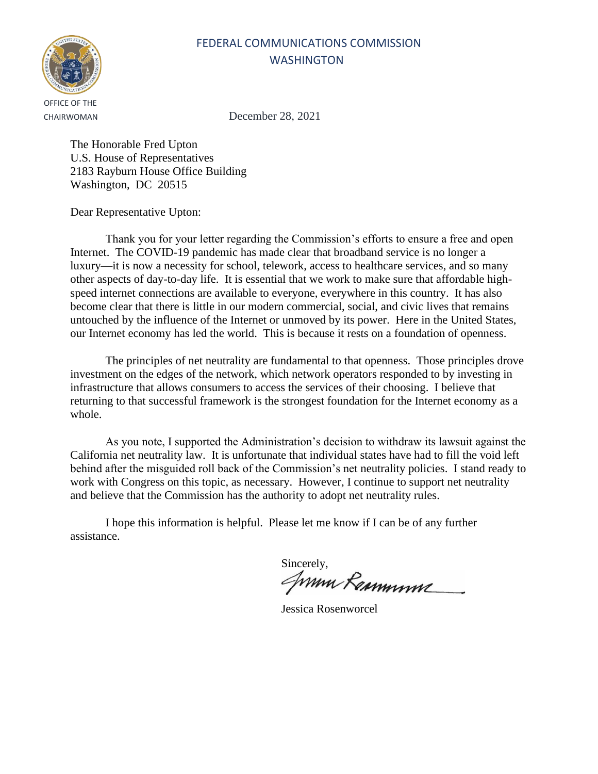

CHAIRWOMAN December 28, 2021

The Honorable Fred Upton U.S. House of Representatives 2183 Rayburn House Office Building Washington, DC 20515

Dear Representative Upton:

Thank you for your letter regarding the Commission's efforts to ensure a free and open Internet. The COVID-19 pandemic has made clear that broadband service is no longer a luxury—it is now a necessity for school, telework, access to healthcare services, and so many other aspects of day-to-day life. It is essential that we work to make sure that affordable highspeed internet connections are available to everyone, everywhere in this country. It has also become clear that there is little in our modern commercial, social, and civic lives that remains untouched by the influence of the Internet or unmoved by its power. Here in the United States, our Internet economy has led the world. This is because it rests on a foundation of openness.

The principles of net neutrality are fundamental to that openness. Those principles drove investment on the edges of the network, which network operators responded to by investing in infrastructure that allows consumers to access the services of their choosing. I believe that returning to that successful framework is the strongest foundation for the Internet economy as a whole.

As you note, I supported the Administration's decision to withdraw its lawsuit against the California net neutrality law. It is unfortunate that individual states have had to fill the void left behind after the misguided roll back of the Commission's net neutrality policies. I stand ready to work with Congress on this topic, as necessary. However, I continue to support net neutrality and believe that the Commission has the authority to adopt net neutrality rules.

Sincerely,<br>*ANNIN RaMMYNY* 

Jessica Rosenworcel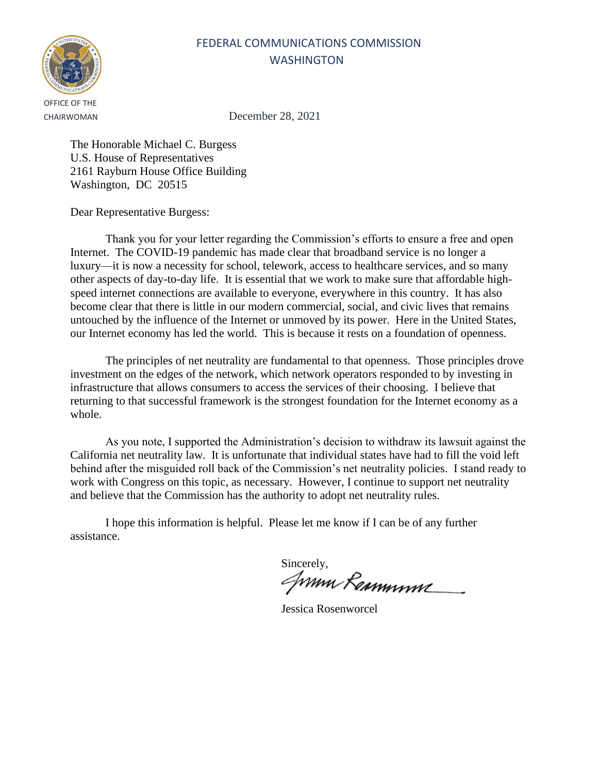

CHAIRWOMAN December 28, 2021

The Honorable Michael C. Burgess U.S. House of Representatives 2161 Rayburn House Office Building Washington, DC 20515

Dear Representative Burgess:

Thank you for your letter regarding the Commission's efforts to ensure a free and open Internet. The COVID-19 pandemic has made clear that broadband service is no longer a luxury—it is now a necessity for school, telework, access to healthcare services, and so many other aspects of day-to-day life. It is essential that we work to make sure that affordable highspeed internet connections are available to everyone, everywhere in this country. It has also become clear that there is little in our modern commercial, social, and civic lives that remains untouched by the influence of the Internet or unmoved by its power. Here in the United States, our Internet economy has led the world. This is because it rests on a foundation of openness.

The principles of net neutrality are fundamental to that openness. Those principles drove investment on the edges of the network, which network operators responded to by investing in infrastructure that allows consumers to access the services of their choosing. I believe that returning to that successful framework is the strongest foundation for the Internet economy as a whole.

As you note, I supported the Administration's decision to withdraw its lawsuit against the California net neutrality law. It is unfortunate that individual states have had to fill the void left behind after the misguided roll back of the Commission's net neutrality policies. I stand ready to work with Congress on this topic, as necessary. However, I continue to support net neutrality and believe that the Commission has the authority to adopt net neutrality rules.

Sincerely,<br>*JWWW Rammmme* 

Jessica Rosenworcel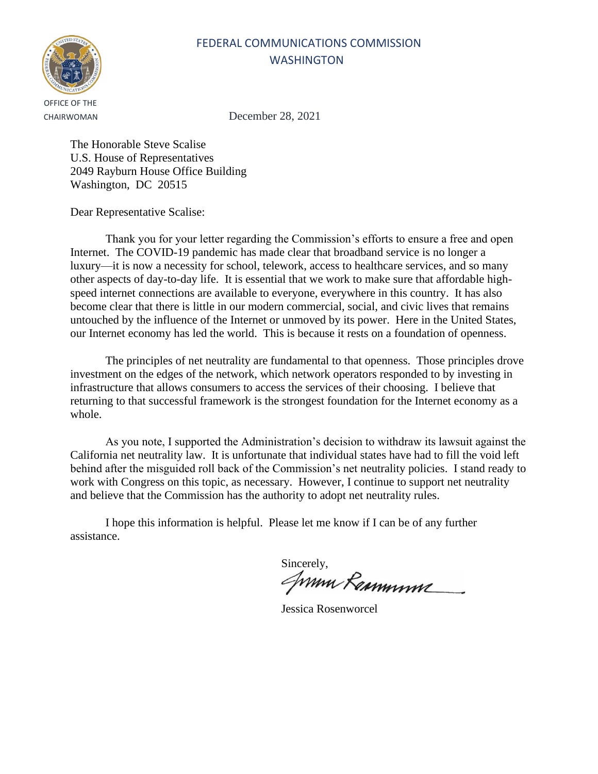

CHAIRWOMAN December 28, 2021

The Honorable Steve Scalise U.S. House of Representatives 2049 Rayburn House Office Building Washington, DC 20515

Dear Representative Scalise:

Thank you for your letter regarding the Commission's efforts to ensure a free and open Internet. The COVID-19 pandemic has made clear that broadband service is no longer a luxury—it is now a necessity for school, telework, access to healthcare services, and so many other aspects of day-to-day life. It is essential that we work to make sure that affordable highspeed internet connections are available to everyone, everywhere in this country. It has also become clear that there is little in our modern commercial, social, and civic lives that remains untouched by the influence of the Internet or unmoved by its power. Here in the United States, our Internet economy has led the world. This is because it rests on a foundation of openness.

The principles of net neutrality are fundamental to that openness. Those principles drove investment on the edges of the network, which network operators responded to by investing in infrastructure that allows consumers to access the services of their choosing. I believe that returning to that successful framework is the strongest foundation for the Internet economy as a whole.

As you note, I supported the Administration's decision to withdraw its lawsuit against the California net neutrality law. It is unfortunate that individual states have had to fill the void left behind after the misguided roll back of the Commission's net neutrality policies. I stand ready to work with Congress on this topic, as necessary. However, I continue to support net neutrality and believe that the Commission has the authority to adopt net neutrality rules.

Sincerely,<br>*ANNIN RaMMYNY* 

Jessica Rosenworcel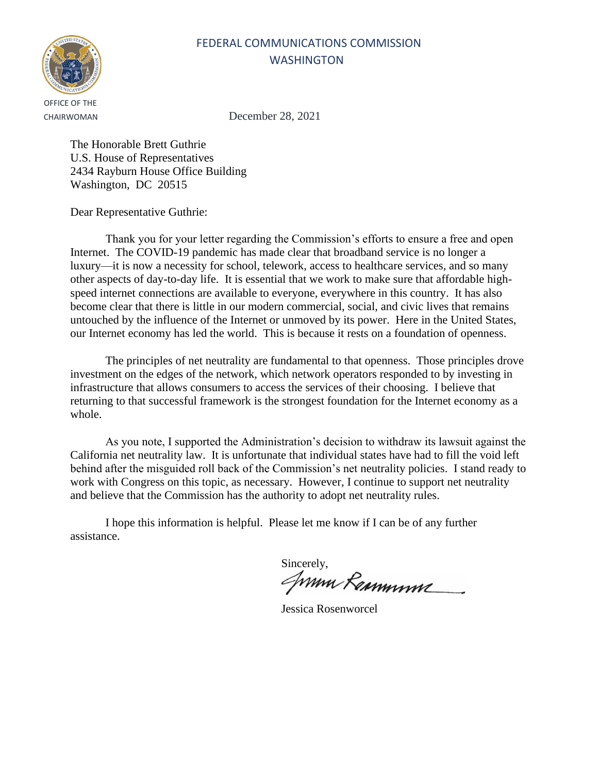

CHAIRWOMAN December 28, 2021

The Honorable Brett Guthrie U.S. House of Representatives 2434 Rayburn House Office Building Washington, DC 20515

Dear Representative Guthrie:

Thank you for your letter regarding the Commission's efforts to ensure a free and open Internet. The COVID-19 pandemic has made clear that broadband service is no longer a luxury—it is now a necessity for school, telework, access to healthcare services, and so many other aspects of day-to-day life. It is essential that we work to make sure that affordable highspeed internet connections are available to everyone, everywhere in this country. It has also become clear that there is little in our modern commercial, social, and civic lives that remains untouched by the influence of the Internet or unmoved by its power. Here in the United States, our Internet economy has led the world. This is because it rests on a foundation of openness.

The principles of net neutrality are fundamental to that openness. Those principles drove investment on the edges of the network, which network operators responded to by investing in infrastructure that allows consumers to access the services of their choosing. I believe that returning to that successful framework is the strongest foundation for the Internet economy as a whole.

As you note, I supported the Administration's decision to withdraw its lawsuit against the California net neutrality law. It is unfortunate that individual states have had to fill the void left behind after the misguided roll back of the Commission's net neutrality policies. I stand ready to work with Congress on this topic, as necessary. However, I continue to support net neutrality and believe that the Commission has the authority to adopt net neutrality rules.

Sincerely,<br>*ANNIN RaMMYNY* 

Jessica Rosenworcel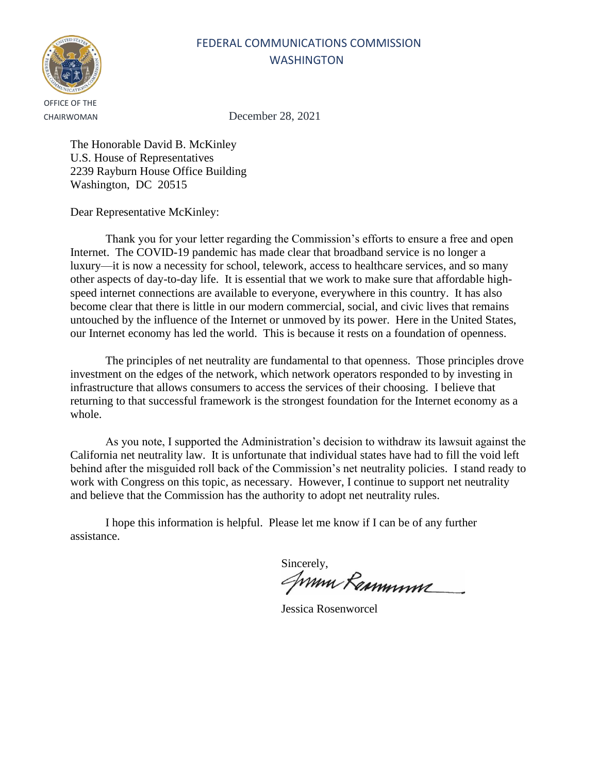

CHAIRWOMAN December 28, 2021

The Honorable David B. McKinley U.S. House of Representatives 2239 Rayburn House Office Building Washington, DC 20515

Dear Representative McKinley:

Thank you for your letter regarding the Commission's efforts to ensure a free and open Internet. The COVID-19 pandemic has made clear that broadband service is no longer a luxury—it is now a necessity for school, telework, access to healthcare services, and so many other aspects of day-to-day life. It is essential that we work to make sure that affordable highspeed internet connections are available to everyone, everywhere in this country. It has also become clear that there is little in our modern commercial, social, and civic lives that remains untouched by the influence of the Internet or unmoved by its power. Here in the United States, our Internet economy has led the world. This is because it rests on a foundation of openness.

The principles of net neutrality are fundamental to that openness. Those principles drove investment on the edges of the network, which network operators responded to by investing in infrastructure that allows consumers to access the services of their choosing. I believe that returning to that successful framework is the strongest foundation for the Internet economy as a whole.

As you note, I supported the Administration's decision to withdraw its lawsuit against the California net neutrality law. It is unfortunate that individual states have had to fill the void left behind after the misguided roll back of the Commission's net neutrality policies. I stand ready to work with Congress on this topic, as necessary. However, I continue to support net neutrality and believe that the Commission has the authority to adopt net neutrality rules.

Sincerely,<br>*JWWW Rammmme* 

Jessica Rosenworcel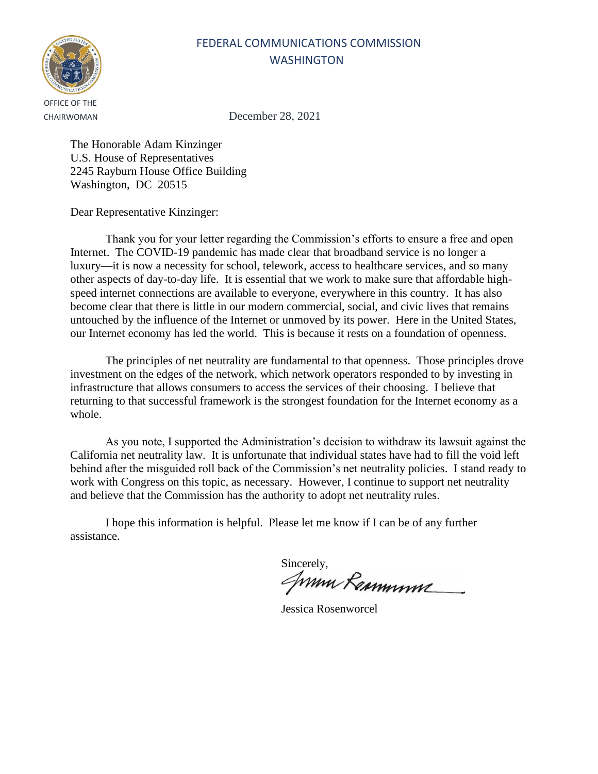

CHAIRWOMAN December 28, 2021

The Honorable Adam Kinzinger U.S. House of Representatives 2245 Rayburn House Office Building Washington, DC 20515

Dear Representative Kinzinger:

Thank you for your letter regarding the Commission's efforts to ensure a free and open Internet. The COVID-19 pandemic has made clear that broadband service is no longer a luxury—it is now a necessity for school, telework, access to healthcare services, and so many other aspects of day-to-day life. It is essential that we work to make sure that affordable highspeed internet connections are available to everyone, everywhere in this country. It has also become clear that there is little in our modern commercial, social, and civic lives that remains untouched by the influence of the Internet or unmoved by its power. Here in the United States, our Internet economy has led the world. This is because it rests on a foundation of openness.

The principles of net neutrality are fundamental to that openness. Those principles drove investment on the edges of the network, which network operators responded to by investing in infrastructure that allows consumers to access the services of their choosing. I believe that returning to that successful framework is the strongest foundation for the Internet economy as a whole.

As you note, I supported the Administration's decision to withdraw its lawsuit against the California net neutrality law. It is unfortunate that individual states have had to fill the void left behind after the misguided roll back of the Commission's net neutrality policies. I stand ready to work with Congress on this topic, as necessary. However, I continue to support net neutrality and believe that the Commission has the authority to adopt net neutrality rules.

Sincerely,<br>*ANNIN RaMMYNY* 

Jessica Rosenworcel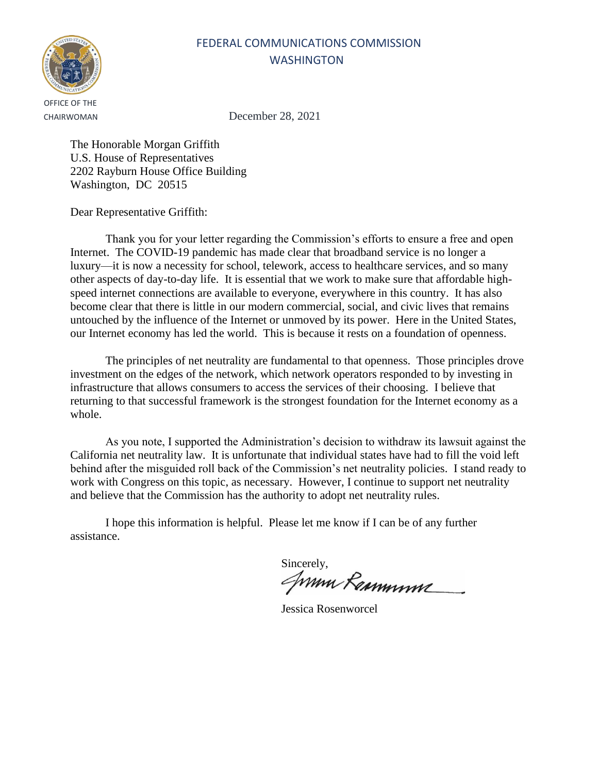

CHAIRWOMAN December 28, 2021

The Honorable Morgan Griffith U.S. House of Representatives 2202 Rayburn House Office Building Washington, DC 20515

Dear Representative Griffith:

Thank you for your letter regarding the Commission's efforts to ensure a free and open Internet. The COVID-19 pandemic has made clear that broadband service is no longer a luxury—it is now a necessity for school, telework, access to healthcare services, and so many other aspects of day-to-day life. It is essential that we work to make sure that affordable highspeed internet connections are available to everyone, everywhere in this country. It has also become clear that there is little in our modern commercial, social, and civic lives that remains untouched by the influence of the Internet or unmoved by its power. Here in the United States, our Internet economy has led the world. This is because it rests on a foundation of openness.

The principles of net neutrality are fundamental to that openness. Those principles drove investment on the edges of the network, which network operators responded to by investing in infrastructure that allows consumers to access the services of their choosing. I believe that returning to that successful framework is the strongest foundation for the Internet economy as a whole.

As you note, I supported the Administration's decision to withdraw its lawsuit against the California net neutrality law. It is unfortunate that individual states have had to fill the void left behind after the misguided roll back of the Commission's net neutrality policies. I stand ready to work with Congress on this topic, as necessary. However, I continue to support net neutrality and believe that the Commission has the authority to adopt net neutrality rules.

Sincerely,<br>*ANNIN RaMMYNY* 

Jessica Rosenworcel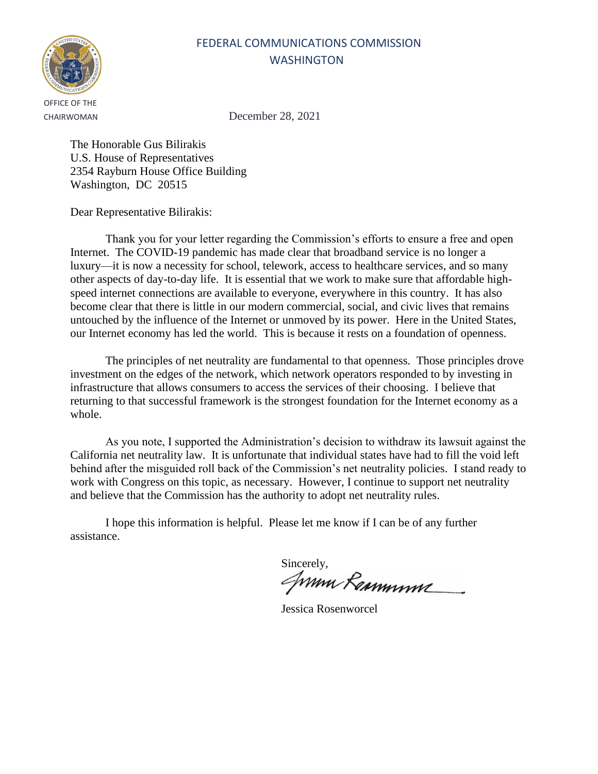

CHAIRWOMAN December 28, 2021

The Honorable Gus Bilirakis U.S. House of Representatives 2354 Rayburn House Office Building Washington, DC 20515

Dear Representative Bilirakis:

Thank you for your letter regarding the Commission's efforts to ensure a free and open Internet. The COVID-19 pandemic has made clear that broadband service is no longer a luxury—it is now a necessity for school, telework, access to healthcare services, and so many other aspects of day-to-day life. It is essential that we work to make sure that affordable highspeed internet connections are available to everyone, everywhere in this country. It has also become clear that there is little in our modern commercial, social, and civic lives that remains untouched by the influence of the Internet or unmoved by its power. Here in the United States, our Internet economy has led the world. This is because it rests on a foundation of openness.

The principles of net neutrality are fundamental to that openness. Those principles drove investment on the edges of the network, which network operators responded to by investing in infrastructure that allows consumers to access the services of their choosing. I believe that returning to that successful framework is the strongest foundation for the Internet economy as a whole.

As you note, I supported the Administration's decision to withdraw its lawsuit against the California net neutrality law. It is unfortunate that individual states have had to fill the void left behind after the misguided roll back of the Commission's net neutrality policies. I stand ready to work with Congress on this topic, as necessary. However, I continue to support net neutrality and believe that the Commission has the authority to adopt net neutrality rules.

Sincerely,<br>*ANNIN RaMMYNY* 

Jessica Rosenworcel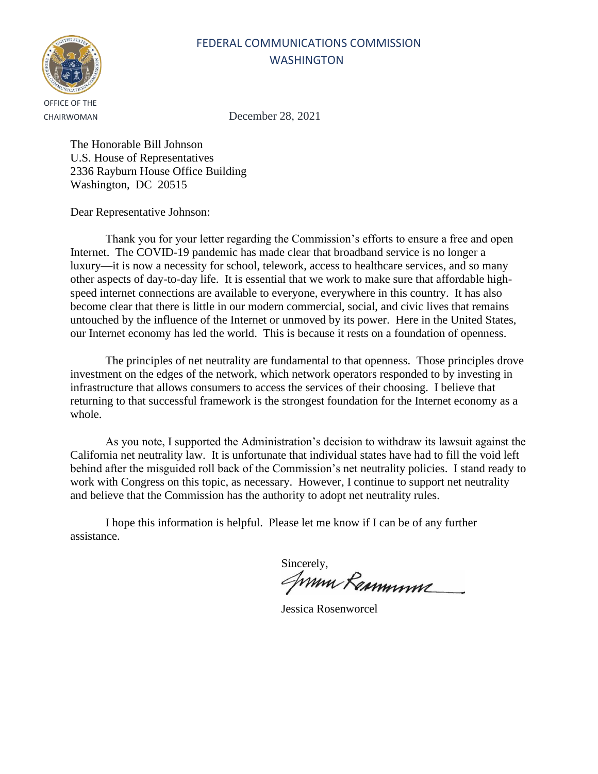

CHAIRWOMAN December 28, 2021

The Honorable Bill Johnson U.S. House of Representatives 2336 Rayburn House Office Building Washington, DC 20515

Dear Representative Johnson:

Thank you for your letter regarding the Commission's efforts to ensure a free and open Internet. The COVID-19 pandemic has made clear that broadband service is no longer a luxury—it is now a necessity for school, telework, access to healthcare services, and so many other aspects of day-to-day life. It is essential that we work to make sure that affordable highspeed internet connections are available to everyone, everywhere in this country. It has also become clear that there is little in our modern commercial, social, and civic lives that remains untouched by the influence of the Internet or unmoved by its power. Here in the United States, our Internet economy has led the world. This is because it rests on a foundation of openness.

The principles of net neutrality are fundamental to that openness. Those principles drove investment on the edges of the network, which network operators responded to by investing in infrastructure that allows consumers to access the services of their choosing. I believe that returning to that successful framework is the strongest foundation for the Internet economy as a whole.

As you note, I supported the Administration's decision to withdraw its lawsuit against the California net neutrality law. It is unfortunate that individual states have had to fill the void left behind after the misguided roll back of the Commission's net neutrality policies. I stand ready to work with Congress on this topic, as necessary. However, I continue to support net neutrality and believe that the Commission has the authority to adopt net neutrality rules.

Sincerely,<br>*ANNIN RaMMYNY* 

Jessica Rosenworcel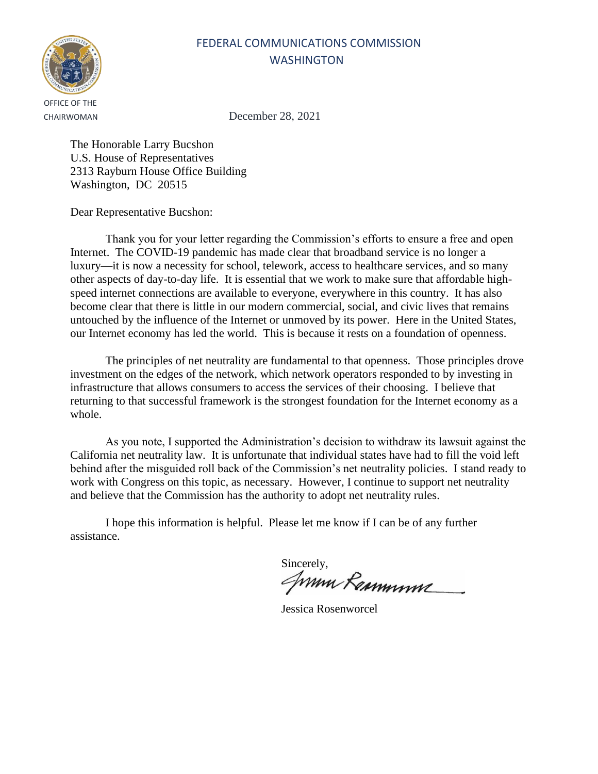

CHAIRWOMAN December 28, 2021

The Honorable Larry Bucshon U.S. House of Representatives 2313 Rayburn House Office Building Washington, DC 20515

Dear Representative Bucshon:

Thank you for your letter regarding the Commission's efforts to ensure a free and open Internet. The COVID-19 pandemic has made clear that broadband service is no longer a luxury—it is now a necessity for school, telework, access to healthcare services, and so many other aspects of day-to-day life. It is essential that we work to make sure that affordable highspeed internet connections are available to everyone, everywhere in this country. It has also become clear that there is little in our modern commercial, social, and civic lives that remains untouched by the influence of the Internet or unmoved by its power. Here in the United States, our Internet economy has led the world. This is because it rests on a foundation of openness.

The principles of net neutrality are fundamental to that openness. Those principles drove investment on the edges of the network, which network operators responded to by investing in infrastructure that allows consumers to access the services of their choosing. I believe that returning to that successful framework is the strongest foundation for the Internet economy as a whole.

As you note, I supported the Administration's decision to withdraw its lawsuit against the California net neutrality law. It is unfortunate that individual states have had to fill the void left behind after the misguided roll back of the Commission's net neutrality policies. I stand ready to work with Congress on this topic, as necessary. However, I continue to support net neutrality and believe that the Commission has the authority to adopt net neutrality rules.

Sincerely,<br>*ANNIN RaMMYNY* 

Jessica Rosenworcel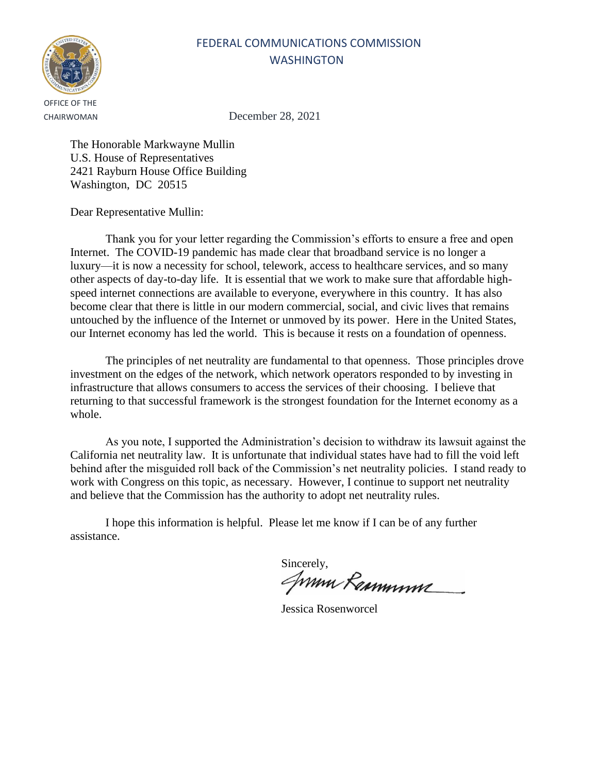

CHAIRWOMAN December 28, 2021

The Honorable Markwayne Mullin U.S. House of Representatives 2421 Rayburn House Office Building Washington, DC 20515

Dear Representative Mullin:

Thank you for your letter regarding the Commission's efforts to ensure a free and open Internet. The COVID-19 pandemic has made clear that broadband service is no longer a luxury—it is now a necessity for school, telework, access to healthcare services, and so many other aspects of day-to-day life. It is essential that we work to make sure that affordable highspeed internet connections are available to everyone, everywhere in this country. It has also become clear that there is little in our modern commercial, social, and civic lives that remains untouched by the influence of the Internet or unmoved by its power. Here in the United States, our Internet economy has led the world. This is because it rests on a foundation of openness.

The principles of net neutrality are fundamental to that openness. Those principles drove investment on the edges of the network, which network operators responded to by investing in infrastructure that allows consumers to access the services of their choosing. I believe that returning to that successful framework is the strongest foundation for the Internet economy as a whole.

As you note, I supported the Administration's decision to withdraw its lawsuit against the California net neutrality law. It is unfortunate that individual states have had to fill the void left behind after the misguided roll back of the Commission's net neutrality policies. I stand ready to work with Congress on this topic, as necessary. However, I continue to support net neutrality and believe that the Commission has the authority to adopt net neutrality rules.

Sincerely,<br>*ANNIN RaMMYNY* 

Jessica Rosenworcel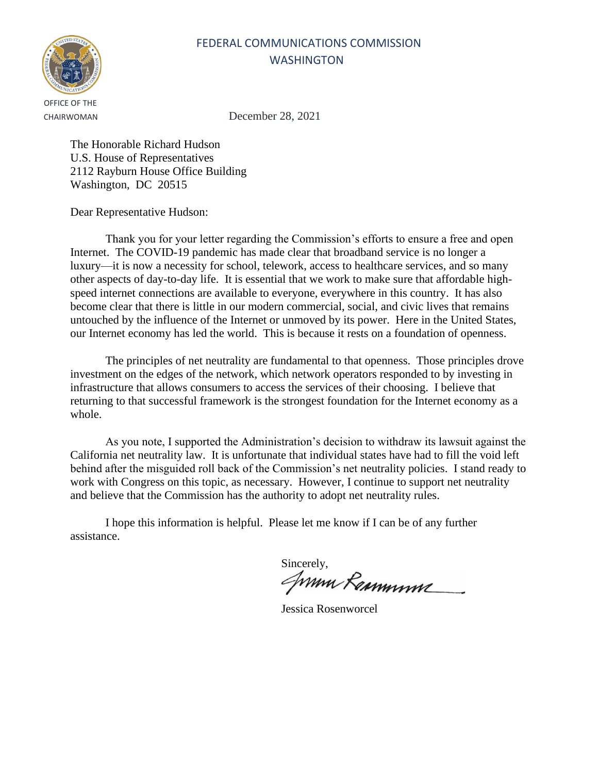

CHAIRWOMAN December 28, 2021

The Honorable Richard Hudson U.S. House of Representatives 2112 Rayburn House Office Building Washington, DC 20515

Dear Representative Hudson:

Thank you for your letter regarding the Commission's efforts to ensure a free and open Internet. The COVID-19 pandemic has made clear that broadband service is no longer a luxury—it is now a necessity for school, telework, access to healthcare services, and so many other aspects of day-to-day life. It is essential that we work to make sure that affordable highspeed internet connections are available to everyone, everywhere in this country. It has also become clear that there is little in our modern commercial, social, and civic lives that remains untouched by the influence of the Internet or unmoved by its power. Here in the United States, our Internet economy has led the world. This is because it rests on a foundation of openness.

The principles of net neutrality are fundamental to that openness. Those principles drove investment on the edges of the network, which network operators responded to by investing in infrastructure that allows consumers to access the services of their choosing. I believe that returning to that successful framework is the strongest foundation for the Internet economy as a whole.

As you note, I supported the Administration's decision to withdraw its lawsuit against the California net neutrality law. It is unfortunate that individual states have had to fill the void left behind after the misguided roll back of the Commission's net neutrality policies. I stand ready to work with Congress on this topic, as necessary. However, I continue to support net neutrality and believe that the Commission has the authority to adopt net neutrality rules.

Sincerely,<br>*ANNIN RaMMYNY* 

Jessica Rosenworcel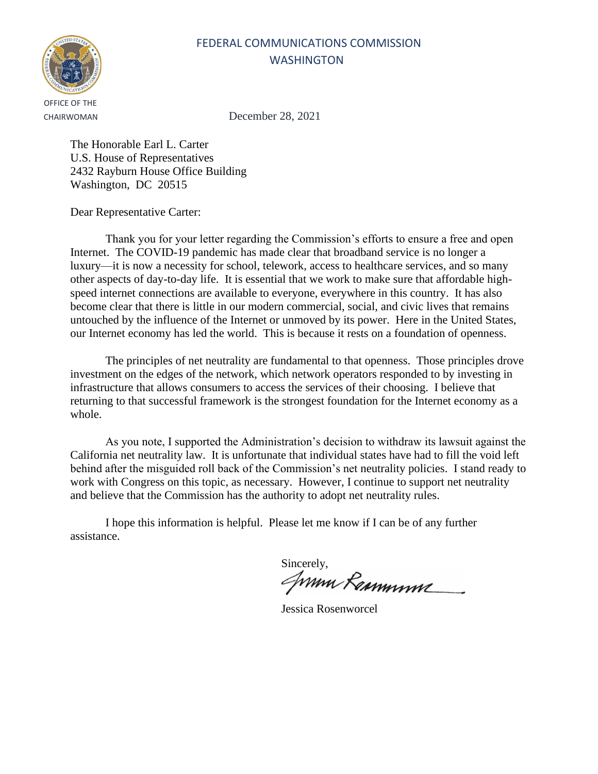

CHAIRWOMAN December 28, 2021

The Honorable Earl L. Carter U.S. House of Representatives 2432 Rayburn House Office Building Washington, DC 20515

Dear Representative Carter:

Thank you for your letter regarding the Commission's efforts to ensure a free and open Internet. The COVID-19 pandemic has made clear that broadband service is no longer a luxury—it is now a necessity for school, telework, access to healthcare services, and so many other aspects of day-to-day life. It is essential that we work to make sure that affordable highspeed internet connections are available to everyone, everywhere in this country. It has also become clear that there is little in our modern commercial, social, and civic lives that remains untouched by the influence of the Internet or unmoved by its power. Here in the United States, our Internet economy has led the world. This is because it rests on a foundation of openness.

The principles of net neutrality are fundamental to that openness. Those principles drove investment on the edges of the network, which network operators responded to by investing in infrastructure that allows consumers to access the services of their choosing. I believe that returning to that successful framework is the strongest foundation for the Internet economy as a whole.

As you note, I supported the Administration's decision to withdraw its lawsuit against the California net neutrality law. It is unfortunate that individual states have had to fill the void left behind after the misguided roll back of the Commission's net neutrality policies. I stand ready to work with Congress on this topic, as necessary. However, I continue to support net neutrality and believe that the Commission has the authority to adopt net neutrality rules.

Sincerely,<br>*ANNIN RaMMYNY* 

Jessica Rosenworcel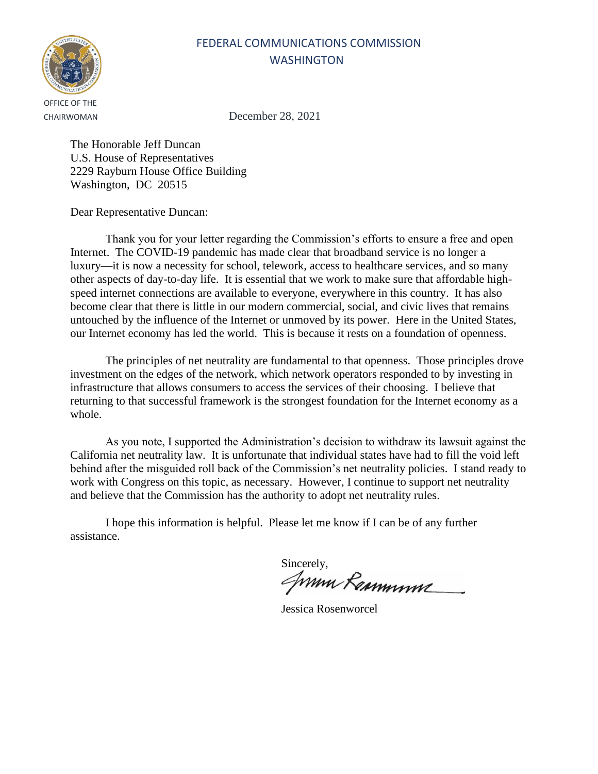

CHAIRWOMAN December 28, 2021

The Honorable Jeff Duncan U.S. House of Representatives 2229 Rayburn House Office Building Washington, DC 20515

Dear Representative Duncan:

Thank you for your letter regarding the Commission's efforts to ensure a free and open Internet. The COVID-19 pandemic has made clear that broadband service is no longer a luxury—it is now a necessity for school, telework, access to healthcare services, and so many other aspects of day-to-day life. It is essential that we work to make sure that affordable highspeed internet connections are available to everyone, everywhere in this country. It has also become clear that there is little in our modern commercial, social, and civic lives that remains untouched by the influence of the Internet or unmoved by its power. Here in the United States, our Internet economy has led the world. This is because it rests on a foundation of openness.

The principles of net neutrality are fundamental to that openness. Those principles drove investment on the edges of the network, which network operators responded to by investing in infrastructure that allows consumers to access the services of their choosing. I believe that returning to that successful framework is the strongest foundation for the Internet economy as a whole.

As you note, I supported the Administration's decision to withdraw its lawsuit against the California net neutrality law. It is unfortunate that individual states have had to fill the void left behind after the misguided roll back of the Commission's net neutrality policies. I stand ready to work with Congress on this topic, as necessary. However, I continue to support net neutrality and believe that the Commission has the authority to adopt net neutrality rules.

Sincerely,<br>*ANNIN RaMMYNY* 

Jessica Rosenworcel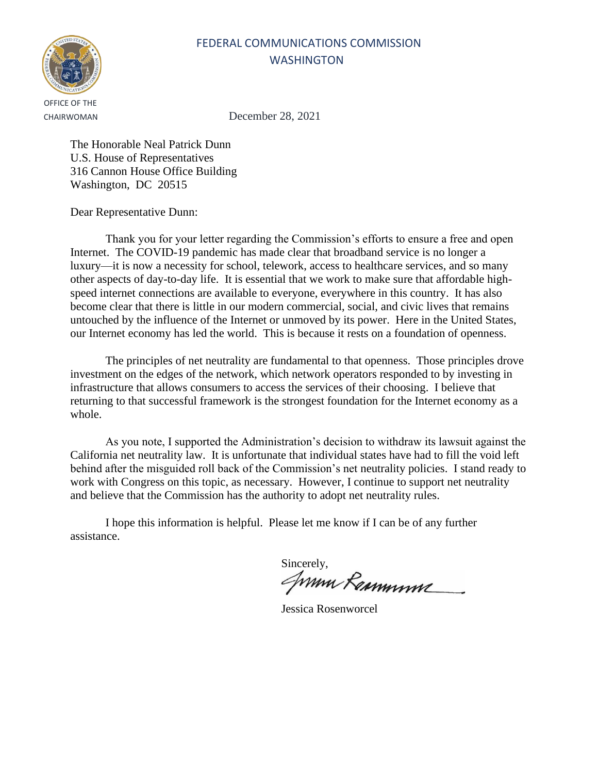

CHAIRWOMAN December 28, 2021

The Honorable Neal Patrick Dunn U.S. House of Representatives 316 Cannon House Office Building Washington, DC 20515

Dear Representative Dunn:

Thank you for your letter regarding the Commission's efforts to ensure a free and open Internet. The COVID-19 pandemic has made clear that broadband service is no longer a luxury—it is now a necessity for school, telework, access to healthcare services, and so many other aspects of day-to-day life. It is essential that we work to make sure that affordable highspeed internet connections are available to everyone, everywhere in this country. It has also become clear that there is little in our modern commercial, social, and civic lives that remains untouched by the influence of the Internet or unmoved by its power. Here in the United States, our Internet economy has led the world. This is because it rests on a foundation of openness.

The principles of net neutrality are fundamental to that openness. Those principles drove investment on the edges of the network, which network operators responded to by investing in infrastructure that allows consumers to access the services of their choosing. I believe that returning to that successful framework is the strongest foundation for the Internet economy as a whole.

As you note, I supported the Administration's decision to withdraw its lawsuit against the California net neutrality law. It is unfortunate that individual states have had to fill the void left behind after the misguided roll back of the Commission's net neutrality policies. I stand ready to work with Congress on this topic, as necessary. However, I continue to support net neutrality and believe that the Commission has the authority to adopt net neutrality rules.

Sincerely,<br>*ANNIN RaMMYNY* 

Jessica Rosenworcel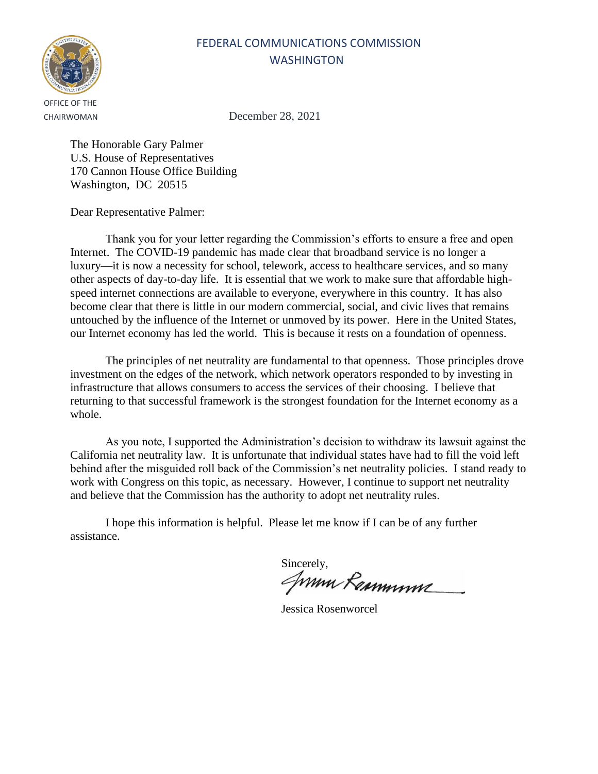

CHAIRWOMAN December 28, 2021

The Honorable Gary Palmer U.S. House of Representatives 170 Cannon House Office Building Washington, DC 20515

Dear Representative Palmer:

Thank you for your letter regarding the Commission's efforts to ensure a free and open Internet. The COVID-19 pandemic has made clear that broadband service is no longer a luxury—it is now a necessity for school, telework, access to healthcare services, and so many other aspects of day-to-day life. It is essential that we work to make sure that affordable highspeed internet connections are available to everyone, everywhere in this country. It has also become clear that there is little in our modern commercial, social, and civic lives that remains untouched by the influence of the Internet or unmoved by its power. Here in the United States, our Internet economy has led the world. This is because it rests on a foundation of openness.

The principles of net neutrality are fundamental to that openness. Those principles drove investment on the edges of the network, which network operators responded to by investing in infrastructure that allows consumers to access the services of their choosing. I believe that returning to that successful framework is the strongest foundation for the Internet economy as a whole.

As you note, I supported the Administration's decision to withdraw its lawsuit against the California net neutrality law. It is unfortunate that individual states have had to fill the void left behind after the misguided roll back of the Commission's net neutrality policies. I stand ready to work with Congress on this topic, as necessary. However, I continue to support net neutrality and believe that the Commission has the authority to adopt net neutrality rules.

Sincerely,<br>*ANNIN RaMMYNY* 

Jessica Rosenworcel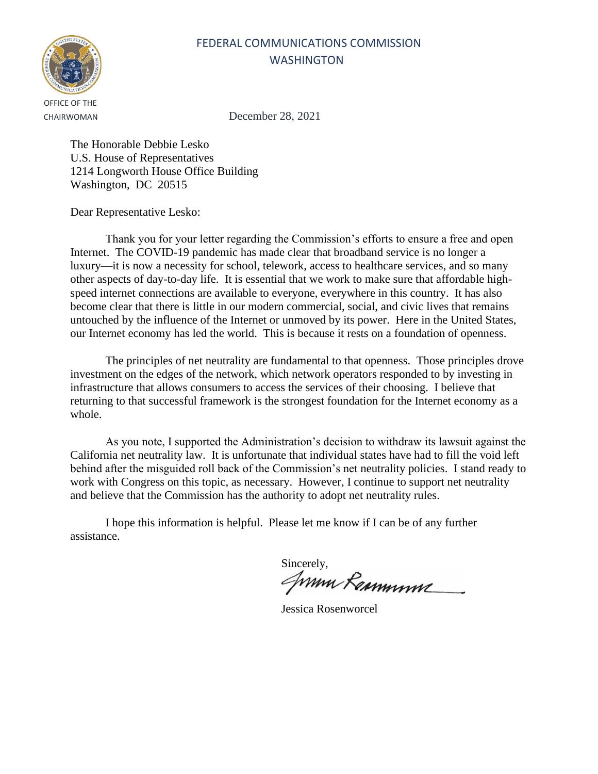

CHAIRWOMAN December 28, 2021

The Honorable Debbie Lesko U.S. House of Representatives 1214 Longworth House Office Building Washington, DC 20515

Dear Representative Lesko:

Thank you for your letter regarding the Commission's efforts to ensure a free and open Internet. The COVID-19 pandemic has made clear that broadband service is no longer a luxury—it is now a necessity for school, telework, access to healthcare services, and so many other aspects of day-to-day life. It is essential that we work to make sure that affordable highspeed internet connections are available to everyone, everywhere in this country. It has also become clear that there is little in our modern commercial, social, and civic lives that remains untouched by the influence of the Internet or unmoved by its power. Here in the United States, our Internet economy has led the world. This is because it rests on a foundation of openness.

The principles of net neutrality are fundamental to that openness. Those principles drove investment on the edges of the network, which network operators responded to by investing in infrastructure that allows consumers to access the services of their choosing. I believe that returning to that successful framework is the strongest foundation for the Internet economy as a whole.

As you note, I supported the Administration's decision to withdraw its lawsuit against the California net neutrality law. It is unfortunate that individual states have had to fill the void left behind after the misguided roll back of the Commission's net neutrality policies. I stand ready to work with Congress on this topic, as necessary. However, I continue to support net neutrality and believe that the Commission has the authority to adopt net neutrality rules.

Sincerely,<br>*ANNIN RaMMYNY* 

Jessica Rosenworcel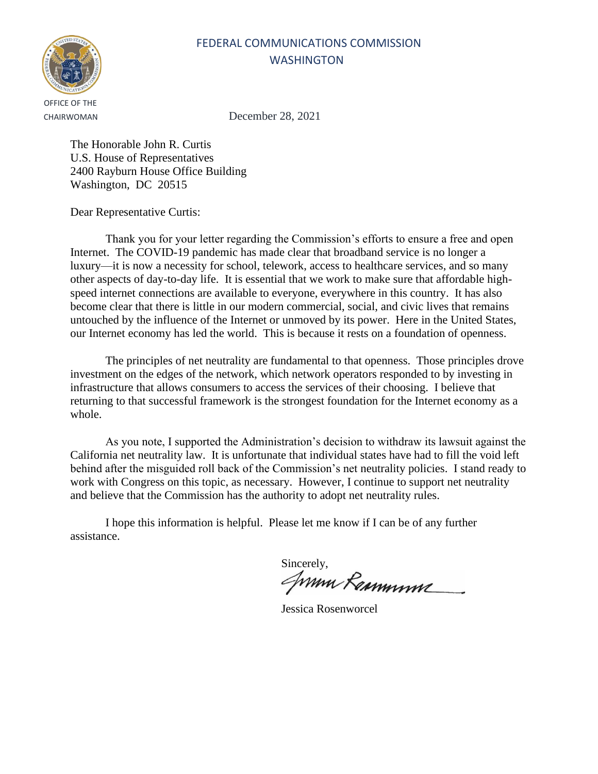

CHAIRWOMAN December 28, 2021

The Honorable John R. Curtis U.S. House of Representatives 2400 Rayburn House Office Building Washington, DC 20515

Dear Representative Curtis:

Thank you for your letter regarding the Commission's efforts to ensure a free and open Internet. The COVID-19 pandemic has made clear that broadband service is no longer a luxury—it is now a necessity for school, telework, access to healthcare services, and so many other aspects of day-to-day life. It is essential that we work to make sure that affordable highspeed internet connections are available to everyone, everywhere in this country. It has also become clear that there is little in our modern commercial, social, and civic lives that remains untouched by the influence of the Internet or unmoved by its power. Here in the United States, our Internet economy has led the world. This is because it rests on a foundation of openness.

The principles of net neutrality are fundamental to that openness. Those principles drove investment on the edges of the network, which network operators responded to by investing in infrastructure that allows consumers to access the services of their choosing. I believe that returning to that successful framework is the strongest foundation for the Internet economy as a whole.

As you note, I supported the Administration's decision to withdraw its lawsuit against the California net neutrality law. It is unfortunate that individual states have had to fill the void left behind after the misguided roll back of the Commission's net neutrality policies. I stand ready to work with Congress on this topic, as necessary. However, I continue to support net neutrality and believe that the Commission has the authority to adopt net neutrality rules.

Sincerely,<br>*ANNIN RaMMYNY* 

Jessica Rosenworcel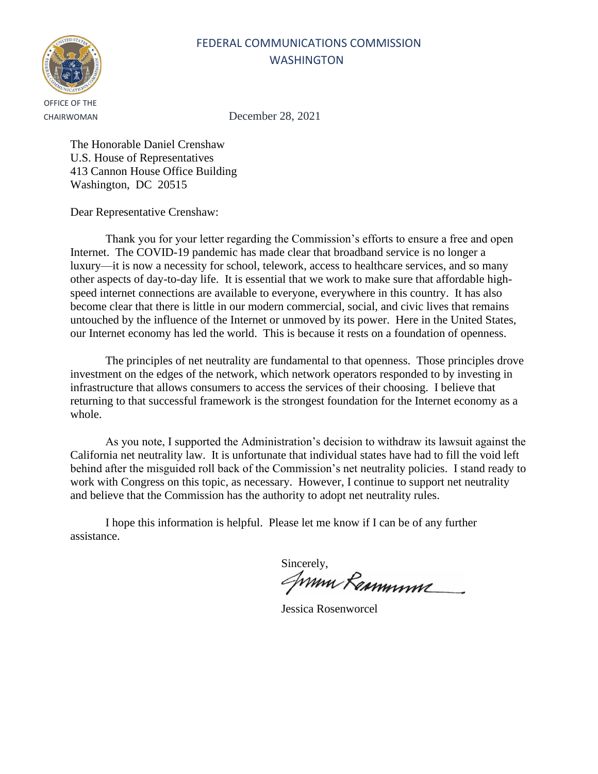

CHAIRWOMAN December 28, 2021

The Honorable Daniel Crenshaw U.S. House of Representatives 413 Cannon House Office Building Washington, DC 20515

Dear Representative Crenshaw:

Thank you for your letter regarding the Commission's efforts to ensure a free and open Internet. The COVID-19 pandemic has made clear that broadband service is no longer a luxury—it is now a necessity for school, telework, access to healthcare services, and so many other aspects of day-to-day life. It is essential that we work to make sure that affordable highspeed internet connections are available to everyone, everywhere in this country. It has also become clear that there is little in our modern commercial, social, and civic lives that remains untouched by the influence of the Internet or unmoved by its power. Here in the United States, our Internet economy has led the world. This is because it rests on a foundation of openness.

The principles of net neutrality are fundamental to that openness. Those principles drove investment on the edges of the network, which network operators responded to by investing in infrastructure that allows consumers to access the services of their choosing. I believe that returning to that successful framework is the strongest foundation for the Internet economy as a whole.

As you note, I supported the Administration's decision to withdraw its lawsuit against the California net neutrality law. It is unfortunate that individual states have had to fill the void left behind after the misguided roll back of the Commission's net neutrality policies. I stand ready to work with Congress on this topic, as necessary. However, I continue to support net neutrality and believe that the Commission has the authority to adopt net neutrality rules.

Sincerely,<br>*ANNIN RaMMYNY* 

Jessica Rosenworcel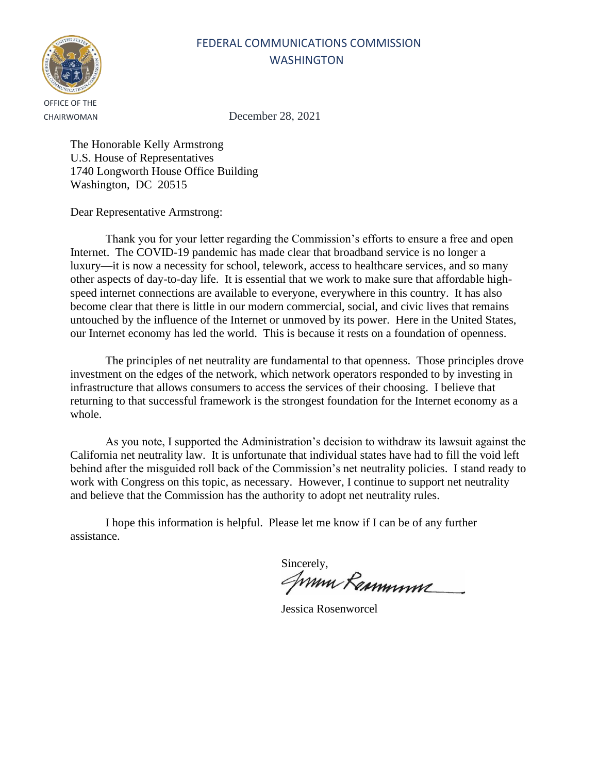

CHAIRWOMAN December 28, 2021

The Honorable Kelly Armstrong U.S. House of Representatives 1740 Longworth House Office Building Washington, DC 20515

Dear Representative Armstrong:

Thank you for your letter regarding the Commission's efforts to ensure a free and open Internet. The COVID-19 pandemic has made clear that broadband service is no longer a luxury—it is now a necessity for school, telework, access to healthcare services, and so many other aspects of day-to-day life. It is essential that we work to make sure that affordable highspeed internet connections are available to everyone, everywhere in this country. It has also become clear that there is little in our modern commercial, social, and civic lives that remains untouched by the influence of the Internet or unmoved by its power. Here in the United States, our Internet economy has led the world. This is because it rests on a foundation of openness.

The principles of net neutrality are fundamental to that openness. Those principles drove investment on the edges of the network, which network operators responded to by investing in infrastructure that allows consumers to access the services of their choosing. I believe that returning to that successful framework is the strongest foundation for the Internet economy as a whole.

As you note, I supported the Administration's decision to withdraw its lawsuit against the California net neutrality law. It is unfortunate that individual states have had to fill the void left behind after the misguided roll back of the Commission's net neutrality policies. I stand ready to work with Congress on this topic, as necessary. However, I continue to support net neutrality and believe that the Commission has the authority to adopt net neutrality rules.

Sincerely,<br>*ANNIN RaMMYNY* 

Jessica Rosenworcel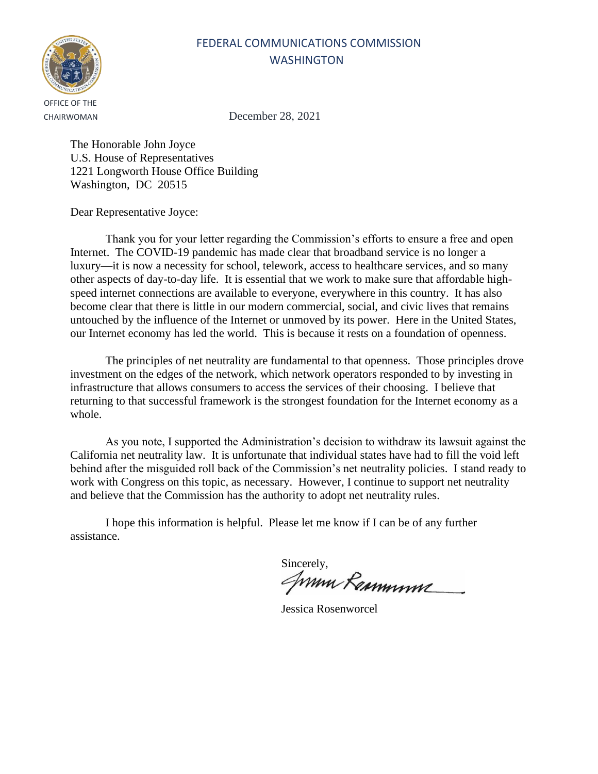OFFICE OF THE

CHAIRWOMAN December 28, 2021

FEDERAL COMMUNICATIONS COMMISSION **WASHINGTON** 

The Honorable John Joyce U.S. House of Representatives 1221 Longworth House Office Building Washington, DC 20515

Dear Representative Joyce:

Thank you for your letter regarding the Commission's efforts to ensure a free and open Internet. The COVID-19 pandemic has made clear that broadband service is no longer a luxury—it is now a necessity for school, telework, access to healthcare services, and so many other aspects of day-to-day life. It is essential that we work to make sure that affordable highspeed internet connections are available to everyone, everywhere in this country. It has also become clear that there is little in our modern commercial, social, and civic lives that remains untouched by the influence of the Internet or unmoved by its power. Here in the United States, our Internet economy has led the world. This is because it rests on a foundation of openness.

The principles of net neutrality are fundamental to that openness. Those principles drove investment on the edges of the network, which network operators responded to by investing in infrastructure that allows consumers to access the services of their choosing. I believe that returning to that successful framework is the strongest foundation for the Internet economy as a whole.

As you note, I supported the Administration's decision to withdraw its lawsuit against the California net neutrality law. It is unfortunate that individual states have had to fill the void left behind after the misguided roll back of the Commission's net neutrality policies. I stand ready to work with Congress on this topic, as necessary. However, I continue to support net neutrality and believe that the Commission has the authority to adopt net neutrality rules.

Sincerely,<br>*ANNIN RaMMYNY* 

Jessica Rosenworcel